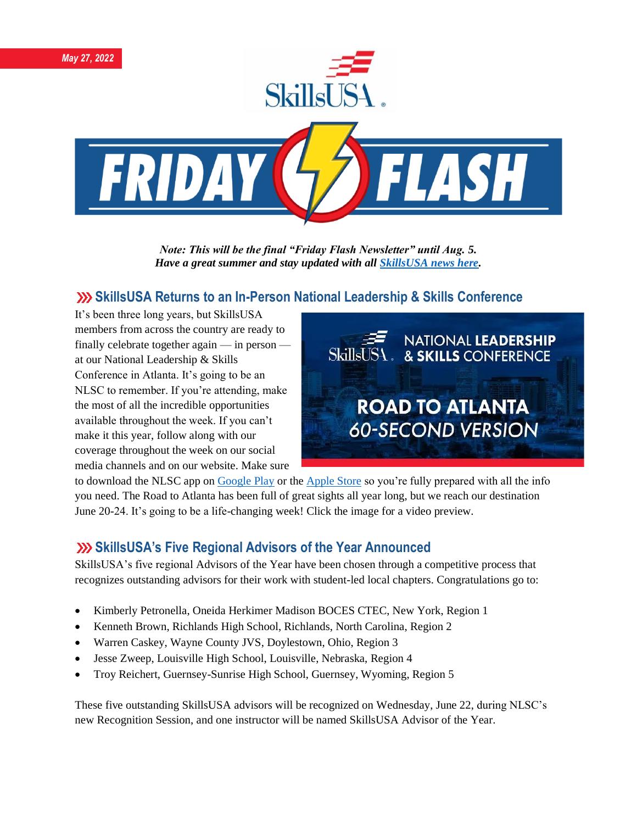

*Note: This will be the final "Friday Flash Newsletter" until Aug. 5. Have a great summer and stay updated with all [SkillsUSA news here.](https://www.skillsusa.org/publications-news/)* 

# **SkillsUSA Returns to an In-Person National Leadership & Skills Conference**

It's been three long years, but SkillsUSA members from across the country are ready to finally celebrate together again — in person at our National Leadership & Skills Conference in Atlanta. It's going to be an NLSC to remember. If you're attending, make the most of all the incredible opportunities available throughout the week. If you can't make it this year, follow along with our coverage throughout the week on our social media channels and on our website. Make sure



to download the NLSC app on [Google Play](https://play.google.com/store/apps/details?id=a2z.Mobile.Event6055&hl=en_US&gl=US) or the [Apple Store](https://apps.apple.com/om/app/skillsusa-2022-nlsc/id1586370950) so you're fully prepared with all the info you need. The Road to Atlanta has been full of great sights all year long, but we reach our destination June 20-24. It's going to be a life-changing week! Click the image for a video preview.

#### **SkillsUSA's Five Regional Advisors of the Year Announced**

SkillsUSA's five regional Advisors of the Year have been chosen through a competitive process that recognizes outstanding advisors for their work with student-led local chapters. Congratulations go to:

- Kimberly Petronella, Oneida Herkimer Madison BOCES CTEC, New York, Region 1
- Kenneth Brown, Richlands High School, Richlands, North Carolina, Region 2
- Warren Caskey, Wayne County JVS, Doylestown, Ohio, Region 3
- Jesse Zweep, Louisville High School, Louisville, Nebraska, Region 4
- Troy Reichert, Guernsey-Sunrise High School, Guernsey, Wyoming, Region 5

These five outstanding SkillsUSA advisors will be recognized on Wednesday, June 22, during NLSC's new Recognition Session, and one instructor will be named SkillsUSA Advisor of the Year.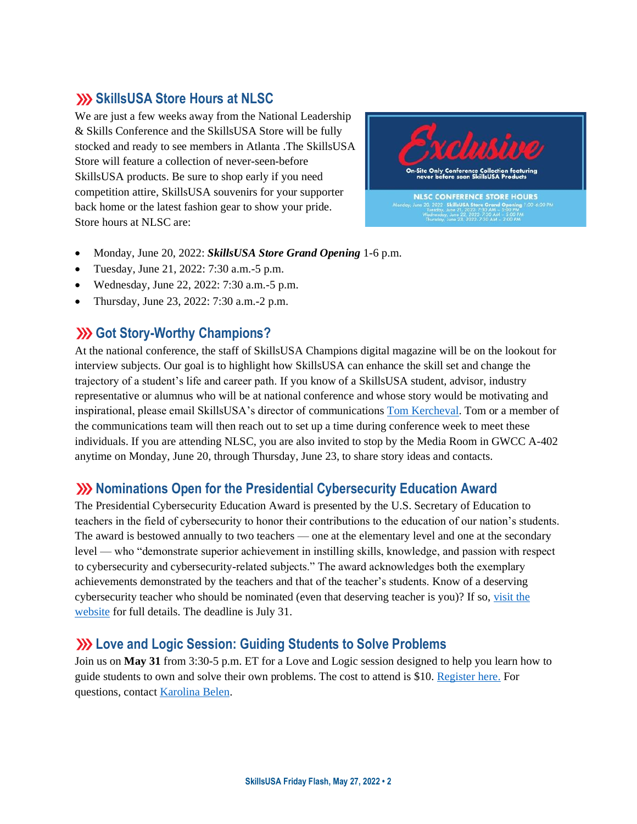# **SKILLSA Store Hours at NLSC**

We are just a few weeks away from the National Leadership & Skills Conference and the SkillsUSA Store will be fully stocked and ready to see members in Atlanta .The SkillsUSA Store will feature a collection of never-seen-before SkillsUSA products. Be sure to shop early if you need competition attire, SkillsUSA souvenirs for your supporter back home or the latest fashion gear to show your pride. Store hours at NLSC are:



- Monday, June 20, 2022: *SkillsUSA Store Grand Opening* 1-6 p.m.
- Tuesday, June 21, 2022: 7:30 a.m.-5 p.m.
- Wednesday, June 22, 2022: 7:30 a.m.-5 p.m.
- Thursday, June 23, 2022: 7:30 a.m.-2 p.m.

### **(b)** Got Story-Worthy Champions?

At the national conference, the staff of SkillsUSA Champions digital magazine will be on the lookout for interview subjects. Our goal is to highlight how SkillsUSA can enhance the skill set and change the trajectory of a student's life and career path. If you know of a SkillsUSA student, advisor, industry representative or alumnus who will be at national conference and whose story would be motivating and inspirational, please email SkillsUSA's director of communications [Tom Kercheval.](mailto:tkercheval@skillsusa.org) Tom or a member of the communications team will then reach out to set up a time during conference week to meet these individuals. If you are attending NLSC, you are also invited to stop by the Media Room in GWCC A-402 anytime on Monday, June 20, through Thursday, June 23, to share story ideas and contacts.

#### **XX** Nominations Open for the Presidential Cybersecurity Education Award

The Presidential Cybersecurity Education Award is presented by the U.S. Secretary of Education to teachers in the field of cybersecurity to honor their contributions to the education of our nation's students. The award is bestowed annually to two teachers — one at the elementary level and one at the secondary level — who "demonstrate superior achievement in instilling skills, knowledge, and passion with respect to cybersecurity and cybersecurity-related subjects." The award acknowledges both the exemplary achievements demonstrated by the teachers and that of the teacher's students. Know of a deserving cybersecurity teacher who should be nominated (even that deserving teacher is you)? If so, [visit the](https://cte.ed.gov/cyberaward)  [website](https://cte.ed.gov/cyberaward) for full details. The deadline is July 31.

#### **Love and Logic Session: Guiding Students to Solve Problems**

Join us on **May 31** from 3:30-5 p.m. ET for a Love and Logic session designed to help you learn how to guide students to own and solve their own problems. The cost to attend is \$10. [Register here.](https://skillsusa.wufoo.com/forms/love-and-logic-and-technical-fridays-registration) For questions, contact [Karolina Belen.](mailto:kbelen@skillsusa.org)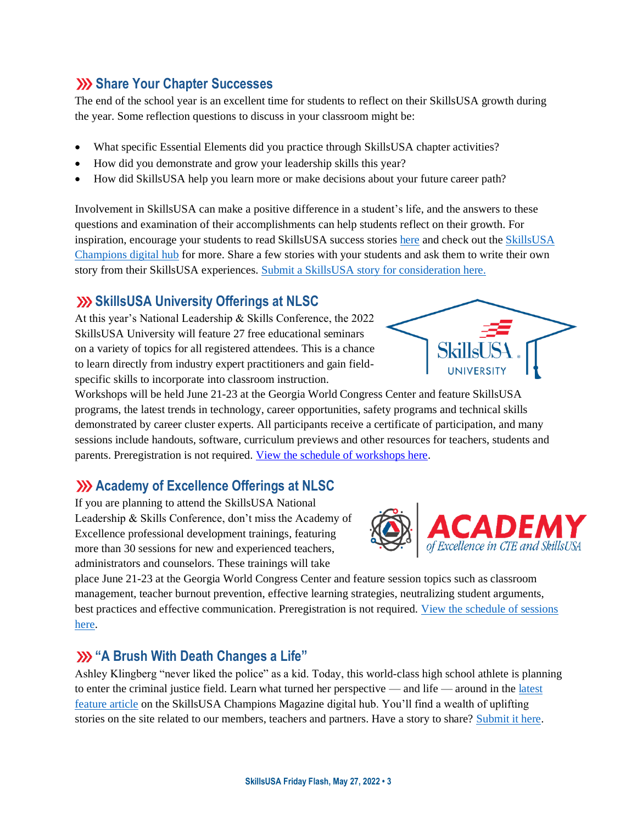## **Share Your Chapter Successes**

The end of the school year is an excellent time for students to reflect on their SkillsUSA growth during the year. Some reflection questions to discuss in your classroom might be:

- What specific Essential Elements did you practice through SkillsUSA chapter activities?
- How did you demonstrate and grow your leadership skills this year?
- How did SkillsUSA help you learn more or make decisions about your future career path?

Involvement in SkillsUSA can make a positive difference in a student's life, and the answers to these questions and examination of their accomplishments can help students reflect on their growth. For inspiration, encourage your students to read SkillsUSA success stories [here](https://www.skillsusa.org/about/success-stories/) and check out the [SkillsUSA](https://skillsusachampions.org/)  [Champions digital hub](https://skillsusachampions.org/) for more. Share a few stories with your students and ask them to write their own story from their SkillsUSA experiences. [Submit a SkillsUSA story for consideration here.](https://skillsusachampions.org/submit-a-story/)

# **SXX SkillsUSA University Offerings at NLSC**

At this year's National Leadership & Skills Conference, the 2022 SkillsUSA University will feature 27 free educational seminars on a variety of topics for all registered attendees. This is a chance to learn directly from industry expert practitioners and gain fieldspecific skills to incorporate into classroom instruction.



Workshops will be held June 21-23 at the Georgia World Congress Center and feature SkillsUSA programs, the latest trends in technology, career opportunities, safety programs and technical skills demonstrated by career cluster experts. All participants receive a certificate of participation, and many sessions include handouts, software, curriculum previews and other resources for teachers, students and parents. Preregistration is not required. [View the schedule of workshops here.](https://www.skillsusa.org/wp-content/uploads/2022/04/SkillsUSA-University-Offerings-2022.pdf)

# **Academy of Excellence Offerings at NLSC**

If you are planning to attend the SkillsUSA National Leadership & Skills Conference, don't miss the Academy of Excellence professional development trainings, featuring more than 30 sessions for new and experienced teachers, administrators and counselors. These trainings will take



place June 21-23 at the Georgia World Congress Center and feature session topics such as classroom management, teacher burnout prevention, effective learning strategies, neutralizing student arguments, best practices and effective communication. Preregistration is not required. [View the schedule of sessions](https://www.skillsusa.org/wp-content/uploads/2022/04/Academy-of-Excellence-Offerings-2022.pdf)  [here.](https://www.skillsusa.org/wp-content/uploads/2022/04/Academy-of-Excellence-Offerings-2022.pdf)

# **"A Brush With Death Changes a Life"**

Ashley Klingberg "never liked the police" as a kid. Today, this world-class high school athlete is planning to enter the criminal justice field. Learn what turned her perspective — and life — around in the [latest](https://skillsusachampions.org/2022/05/a-brush-with-death-changes-a-life/)  [feature article](https://skillsusachampions.org/2022/05/a-brush-with-death-changes-a-life/) on the SkillsUSA Champions Magazine digital hub. You'll find a wealth of uplifting stories on the site related to our members, teachers and partners. Have a story to share? [Submit it here.](https://skillsusachampions.org/submit-a-story/)